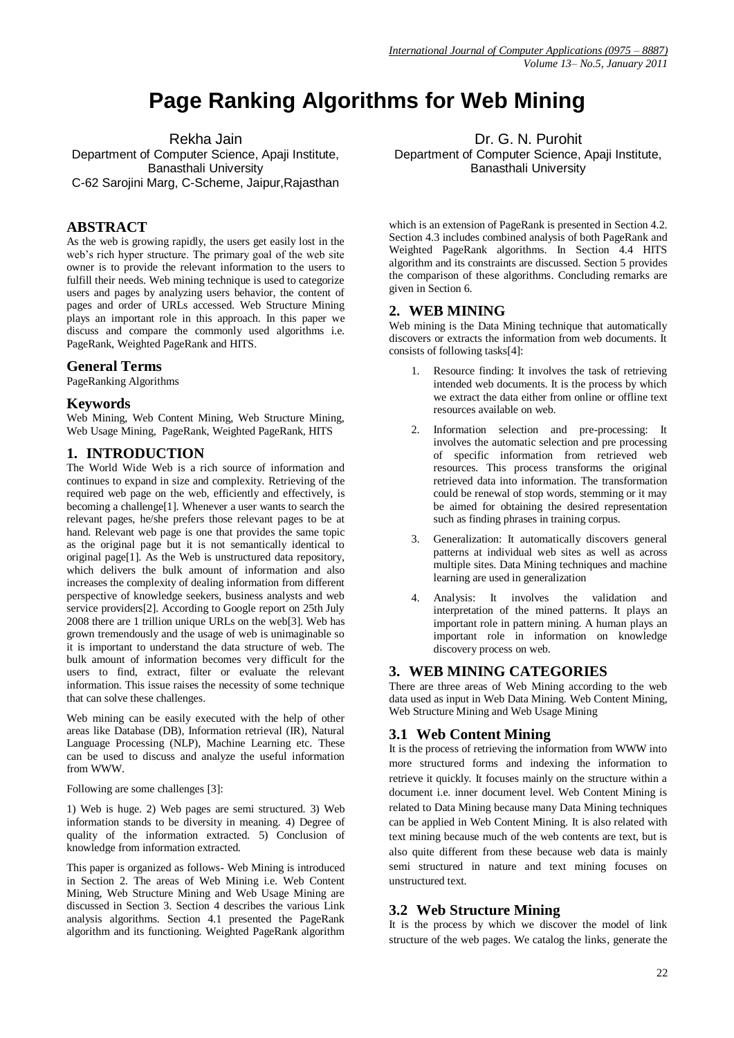# **Page Ranking Algorithms for Web Mining**

Rekha Jain

Department of Computer Science, Apaji Institute, Banasthali University C-62 Sarojini Marg, C-Scheme, Jaipur,Rajasthan

# **ABSTRACT**

As the web is growing rapidly, the users get easily lost in the web's rich hyper structure. The primary goal of the web site owner is to provide the relevant information to the users to fulfill their needs. Web mining technique is used to categorize users and pages by analyzing users behavior, the content of pages and order of URLs accessed. Web Structure Mining plays an important role in this approach. In this paper we discuss and compare the commonly used algorithms i.e. PageRank, Weighted PageRank and HITS.

# **General Terms**

PageRanking Algorithms

# **Keywords**

Web Mining, Web Content Mining, Web Structure Mining, Web Usage Mining, PageRank, Weighted PageRank, HITS

# **1. INTRODUCTION**

The World Wide Web is a rich source of information and continues to expand in size and complexity. Retrieving of the required web page on the web, efficiently and effectively, is becoming a challenge[1]. Whenever a user wants to search the relevant pages, he/she prefers those relevant pages to be at hand. Relevant web page is one that provides the same topic as the original page but it is not semantically identical to original page[1]. As the Web is unstructured data repository, which delivers the bulk amount of information and also increases the complexity of dealing information from different perspective of knowledge seekers, business analysts and web service providers[2]. According to Google report on 25th July 2008 there are 1 trillion unique URLs on the web[3]. Web has grown tremendously and the usage of web is unimaginable so it is important to understand the data structure of web. The bulk amount of information becomes very difficult for the users to find, extract, filter or evaluate the relevant information. This issue raises the necessity of some technique that can solve these challenges.

Web mining can be easily executed with the help of other areas like Database (DB), Information retrieval (IR), Natural Language Processing (NLP), Machine Learning etc. These can be used to discuss and analyze the useful information from WWW.

Following are some challenges [3]:

1) Web is huge. 2) Web pages are semi structured. 3) Web information stands to be diversity in meaning. 4) Degree of quality of the information extracted. 5) Conclusion of knowledge from information extracted.

This paper is organized as follows- Web Mining is introduced in Section 2. The areas of Web Mining i.e. Web Content Mining, Web Structure Mining and Web Usage Mining are discussed in Section 3. Section 4 describes the various Link analysis algorithms. Section 4.1 presented the PageRank algorithm and its functioning. Weighted PageRank algorithm

Dr. G. N. Purohit Department of Computer Science, Apaji Institute, Banasthali University

which is an extension of PageRank is presented in Section 4.2. Section 4.3 includes combined analysis of both PageRank and Weighted PageRank algorithms. In Section 4.4 HITS algorithm and its constraints are discussed. Section 5 provides the comparison of these algorithms. Concluding remarks are given in Section 6.

# **2. WEB MINING**

Web mining is the Data Mining technique that automatically discovers or extracts the information from web documents. It consists of following tasks[4]:

- 1. Resource finding: It involves the task of retrieving intended web documents. It is the process by which we extract the data either from online or offline text resources available on web.
- 2. Information selection and pre-processing: It involves the automatic selection and pre processing of specific information from retrieved web resources. This process transforms the original retrieved data into information. The transformation could be renewal of stop words, stemming or it may be aimed for obtaining the desired representation such as finding phrases in training corpus.
- 3. Generalization: It automatically discovers general patterns at individual web sites as well as across multiple sites. Data Mining techniques and machine learning are used in generalization
- 4. Analysis: It involves the validation and interpretation of the mined patterns. It plays an important role in pattern mining. A human plays an important role in information on knowledge discovery process on web.

## **3. WEB MINING CATEGORIES**

There are three areas of Web Mining according to the web data used as input in Web Data Mining. Web Content Mining, Web Structure Mining and Web Usage Mining

# **3.1 Web Content Mining**

It is the process of retrieving the information from WWW into more structured forms and indexing the information to retrieve it quickly. It focuses mainly on the structure within a document i.e. inner document level. Web Content Mining is related to Data Mining because many Data Mining techniques can be applied in Web Content Mining. It is also related with text mining because much of the web contents are text, but is also quite different from these because web data is mainly semi structured in nature and text mining focuses on unstructured text.

# **3.2 Web Structure Mining**

It is the process by which we discover the model of link structure of the web pages. We catalog the links, generate the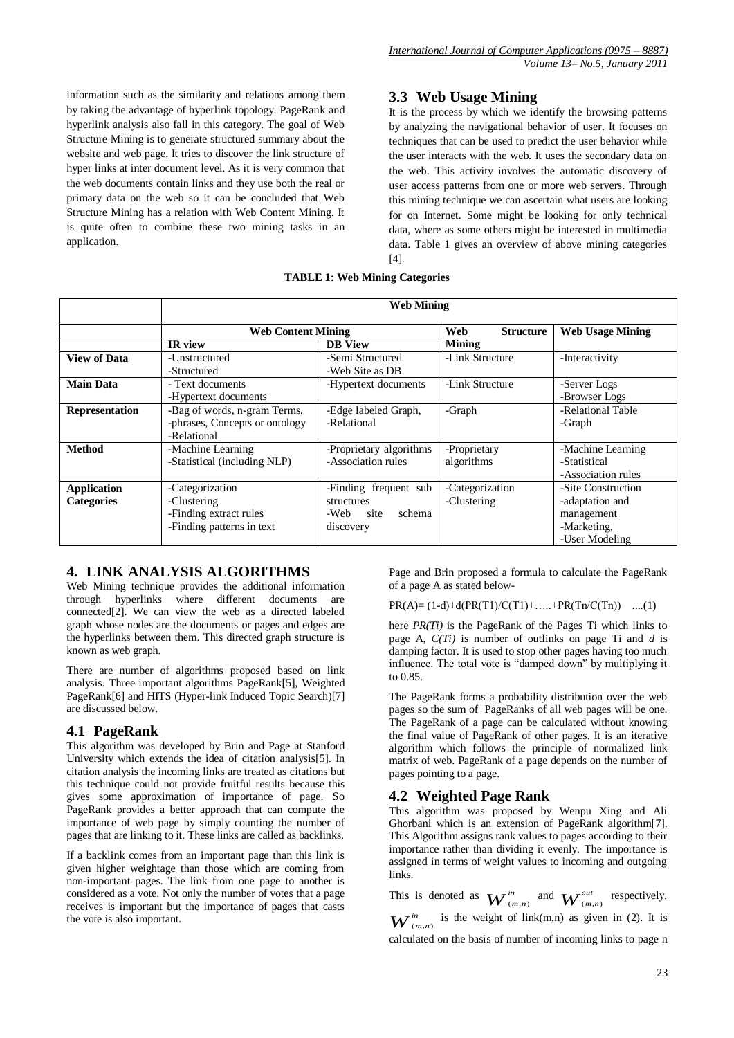information such as the similarity and relations among them by taking the advantage of hyperlink topology. PageRank and hyperlink analysis also fall in this category. The goal of Web Structure Mining is to generate structured summary about the website and web page. It tries to discover the link structure of hyper links at inter document level. As it is very common that the web documents contain links and they use both the real or primary data on the web so it can be concluded that Web Structure Mining has a relation with Web Content Mining. It is quite often to combine these two mining tasks in an application.

# **3.3 Web Usage Mining**

It is the process by which we identify the browsing patterns by analyzing the navigational behavior of user. It focuses on techniques that can be used to predict the user behavior while the user interacts with the web. It uses the secondary data on the web. This activity involves the automatic discovery of user access patterns from one or more web servers. Through this mining technique we can ascertain what users are looking for on Internet. Some might be looking for only technical data, where as some others might be interested in multimedia data. Table 1 gives an overview of above mining categories [4].

#### **TABLE 1: Web Mining Categories**

|                     | <b>Web Mining</b>              |                         |                         |                         |
|---------------------|--------------------------------|-------------------------|-------------------------|-------------------------|
|                     | <b>Web Content Mining</b>      |                         | Web<br><b>Structure</b> | <b>Web Usage Mining</b> |
|                     | IR view                        | <b>DB</b> View          | <b>Mining</b>           |                         |
| <b>View of Data</b> | -Unstructured                  | -Semi Structured        | -Link Structure         | -Interactivity          |
|                     | -Structured                    | -Web Site as DB         |                         |                         |
| <b>Main Data</b>    | - Text documents               | -Hypertext documents    | -Link Structure         | -Server Logs            |
|                     | -Hypertext documents           |                         |                         | -Browser Logs           |
| Representation      | -Bag of words, n-gram Terms,   | -Edge labeled Graph,    | -Graph                  | -Relational Table       |
|                     | -phrases, Concepts or ontology | -Relational             |                         | -Graph                  |
|                     | -Relational                    |                         |                         |                         |
| <b>Method</b>       | -Machine Learning              | -Proprietary algorithms | -Proprietary            | -Machine Learning       |
|                     | -Statistical (including NLP)   | -Association rules      | algorithms              | -Statistical            |
|                     |                                |                         |                         | -Association rules      |
| <b>Application</b>  | -Categorization                | -Finding frequent sub   | -Categorization         | -Site Construction      |
| <b>Categories</b>   | -Clustering                    | structures              | -Clustering             | -adaptation and         |
|                     | -Finding extract rules         | schema<br>-Web-<br>site |                         | management              |
|                     | -Finding patterns in text      | discovery               |                         | -Marketing,             |
|                     |                                |                         |                         | -User Modeling          |

# **4. LINK ANALYSIS ALGORITHMS**

Web Mining technique provides the additional information through hyperlinks where different documents are connected[2]. We can view the web as a directed labeled graph whose nodes are the documents or pages and edges are the hyperlinks between them. This directed graph structure is known as web graph.

There are number of algorithms proposed based on link analysis. Three important algorithms PageRank[5], Weighted PageRank[6] and HITS (Hyper-link Induced Topic Search)[7] are discussed below.

## **4.1 PageRank**

This algorithm was developed by Brin and Page at Stanford University which extends the idea of citation analysis[5]. In citation analysis the incoming links are treated as citations but this technique could not provide fruitful results because this gives some approximation of importance of page. So PageRank provides a better approach that can compute the importance of web page by simply counting the number of pages that are linking to it. These links are called as backlinks.

If a backlink comes from an important page than this link is given higher weightage than those which are coming from non-important pages. The link from one page to another is considered as a vote. Not only the number of votes that a page receives is important but the importance of pages that casts the vote is also important.

Page and Brin proposed a formula to calculate the PageRank of a page A as stated below-

 $PR(A) = (1-d)+d(PR(T1)/C(T1)+....+PR(Tn/C(Tn))$  ....(1)

here *PR(Ti)* is the PageRank of the Pages Ti which links to page A, *C(Ti)* is number of outlinks on page Ti and *d* is damping factor. It is used to stop other pages having too much influence. The total vote is "damped down" by multiplying it to 0.85.

The PageRank forms a probability distribution over the web pages so the sum of PageRanks of all web pages will be one. The PageRank of a page can be calculated without knowing the final value of PageRank of other pages. It is an iterative algorithm which follows the principle of normalized link matrix of web. PageRank of a page depends on the number of pages pointing to a page.

## **4.2 Weighted Page Rank**

This algorithm was proposed by Wenpu Xing and Ali Ghorbani which is an extension of PageRank algorithm[7]. This Algorithm assigns rank values to pages according to their importance rather than dividing it evenly. The importance is assigned in terms of weight values to incoming and outgoing links.

This is denoted as  $\boldsymbol{W}^{in}_{(i)}$  $\sum_{(m,n)}^{in}$  and  $\mathbf{W}^{out}_{(m)}$  $^{out}_{(m,n)}$  respectively.  $\boldsymbol{W}$ <sup>*in*</sup>  $\sum_{(m,n)}^{in}$  is the weight of link(m,n) as given in (2). It is calculated on the basis of number of incoming links to page n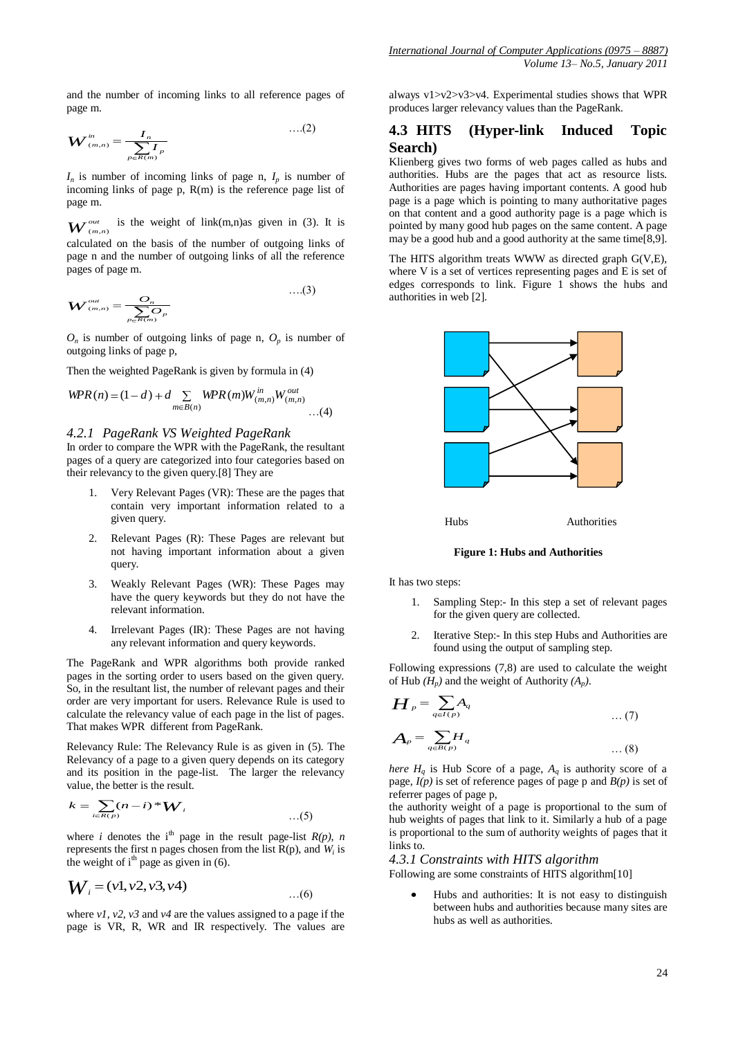and the number of incoming links to all reference pages of page m.

$$
\boldsymbol{W}_{(m,n)}^{in} = \frac{\boldsymbol{I}_n}{\sum_{p \in \mathcal{R}(m)} \boldsymbol{I}_p} \qquad \qquad \dots (2)
$$

 $I_n$  is number of incoming links of page n,  $I_p$  is number of incoming links of page  $p$ ,  $R(m)$  is the reference page list of page m.

 $\boldsymbol{W}$ <sup>out</sup> (*m*,*n*) is the weight of link(m,n)as given in (3). It is calculated on the basis of the number of outgoing links of page n and the number of outgoing links of all the reference pages of page m.

$$
W_{(m,n)}^{out} = \frac{O_n}{\sum_{p \in R(m)} O_p}
$$
...(3)

 $O_n$  is number of outgoing links of page n,  $O_p$  is number of outgoing links of page p,

Then the weighted PageRank is given by formula in (4)

$$
WPR(n) = (1 - d) + d \sum_{m \in B(n)} WPR(m)W_{(m,n)}^{in}W_{(m,n)}^{out}
$$
...(4)

#### *4.2.1 PageRank VS Weighted PageRank*

In order to compare the WPR with the PageRank, the resultant pages of a query are categorized into four categories based on their relevancy to the given query.[8] They are

- 1. Very Relevant Pages (VR): These are the pages that contain very important information related to a given query.
- 2. Relevant Pages (R): These Pages are relevant but not having important information about a given query.
- 3. Weakly Relevant Pages (WR): These Pages may have the query keywords but they do not have the relevant information.
- 4. Irrelevant Pages (IR): These Pages are not having any relevant information and query keywords.

The PageRank and WPR algorithms both provide ranked pages in the sorting order to users based on the given query. So, in the resultant list, the number of relevant pages and their order are very important for users. Relevance Rule is used to calculate the relevancy value of each page in the list of pages. That makes WPR different from PageRank.

Relevancy Rule: The Relevancy Rule is as given in (5). The Relevancy of a page to a given query depends on its category and its position in the page-list. The larger the relevancy value, the better is the result.

$$
k = \sum_{i \in R(p)} (n - i)^* W_i
$$
...(5)

where *i* denotes the i<sup>th</sup> page in the result page-list  $R(p)$ , *n* represents the first n pages chosen from the list R(p), and *W<sup>i</sup>* is the weight of  $i<sup>th</sup>$  page as given in (6).

$$
W_i = (v1, v2, v3, v4) \qquad ...(6)
$$

where *v1, v2, v3* and *v4* are the values assigned to a page if the page is VR, R, WR and IR respectively. The values are always v1>v2>v3>v4. Experimental studies shows that WPR produces larger relevancy values than the PageRank.

## **4.3 HITS (Hyper-link Induced Topic Search)**

Klienberg gives two forms of web pages called as hubs and authorities. Hubs are the pages that act as resource lists. Authorities are pages having important contents. A good hub page is a page which is pointing to many authoritative pages on that content and a good authority page is a page which is pointed by many good hub pages on the same content. A page may be a good hub and a good authority at the same time[8,9].

The HITS algorithm treats WWW as directed graph G(V,E), where V is a set of vertices representing pages and E is set of edges corresponds to link. Figure 1 shows the hubs and authorities in web [2].



**Figure 1: Hubs and Authorities**

It has two steps:

- 1. Sampling Step:- In this step a set of relevant pages for the given query are collected.
- 2. Iterative Step:- In this step Hubs and Authorities are found using the output of sampling step.

Following expressions (7,8) are used to calculate the weight of Hub  $(H_p)$  and the weight of Authority  $(A_p)$ .

$$
H_{p} = \sum_{q \in I(p)} A_{q}
$$
 ... (7)  

$$
A_{p} = \sum_{q \in B(p)} H_{q}
$$
 ... (8)

*here*  $H_q$  is Hub Score of a page,  $A_q$  is authority score of a page,  $I(p)$  is set of reference pages of page p and  $B(p)$  is set of referrer pages of page p,

the authority weight of a page is proportional to the sum of hub weights of pages that link to it. Similarly a hub of a page is proportional to the sum of authority weights of pages that it links to.

*4.3.1 Constraints with HITS algorithm* Following are some constraints of HITS algorithm[10]

Hubs and authorities: It is not easy to distinguish between hubs and authorities because many sites are hubs as well as authorities.